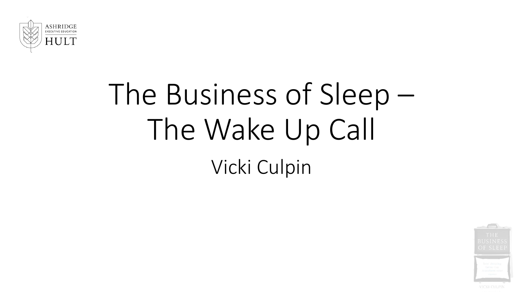

# The Business of Sleep – The Wake Up Call Vicki Culpin

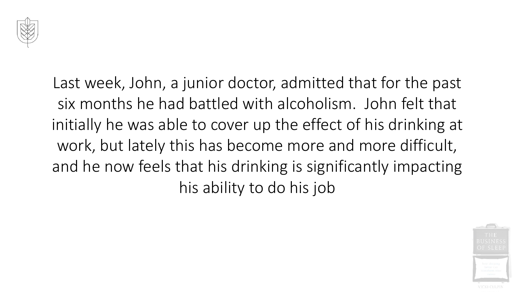

Last week, John, a junior doctor, admitted that for the past six months he had battled with alcoholism. John felt that initially he was able to cover up the effect of his drinking at work, but lately this has become more and more difficult, and he now feels that his drinking is significantly impacting his ability to do his job

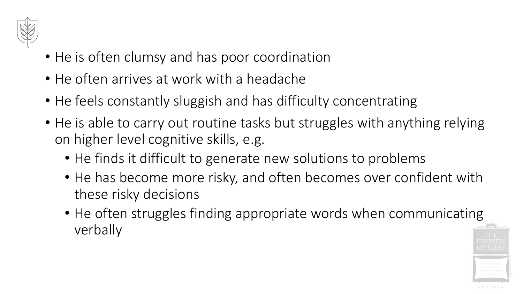

- He is often clumsy and has poor coordination
- He often arrives at work with a headache
- He feels constantly sluggish and has difficulty concentrating
- He is able to carry out routine tasks but struggles with anything relying on higher level cognitive skills, e.g.
	- He finds it difficult to generate new solutions to problems
	- He has become more risky, and often becomes over confident with these risky decisions
	- He often struggles finding appropriate words when communicating verbally

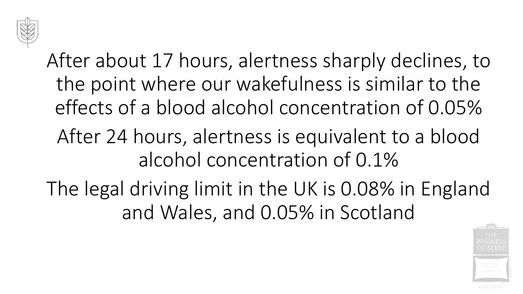

After about 17 hours, alertness sharply declines, to the point where our wakefulness is similar to the effects of a blood alcohol concentration of 0.05% After 24 hours, alertness is equivalent to a blood alcohol concentration of 0.1%

The legal driving limit in the UK is 0.08% in England and Wales, and 0.05% in Scotland

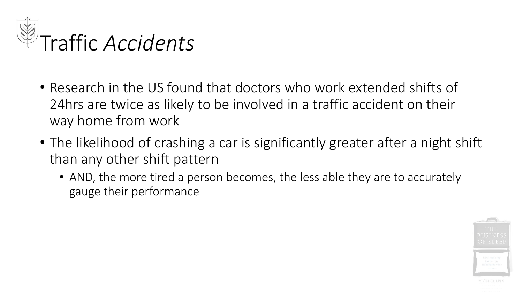

- Research in the US found that doctors who work extended shifts of 24hrs are twice as likely to be involved in a traffic accident on their way home from work
- The likelihood of crashing a car is significantly greater after a night shift than any other shift pattern
	- AND, the more tired a person becomes, the less able they are to accurately gauge their performance

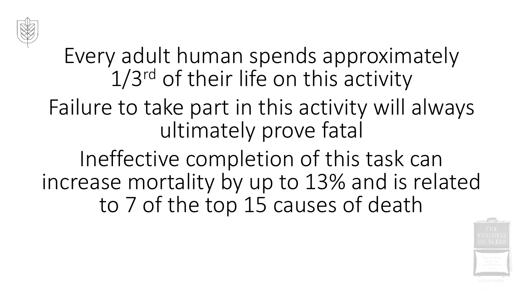

Every adult human spends approximately 1/3rd of their life on this activity

Failure to take part in this activity will always ultimately prove fatal

Ineffective completion of this task can increase mortality by up to 13% and is related to 7 of the top 15 causes of death

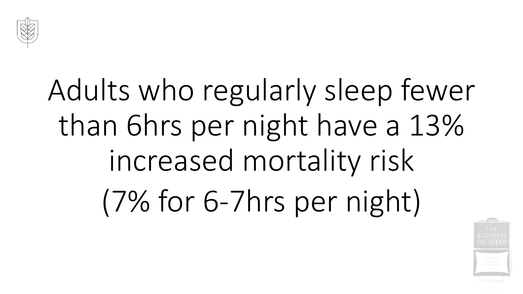

# Adults who regularly sleep fewer than 6hrs per night have a 13% increased mortality risk (7% for 6-7hrs per night)

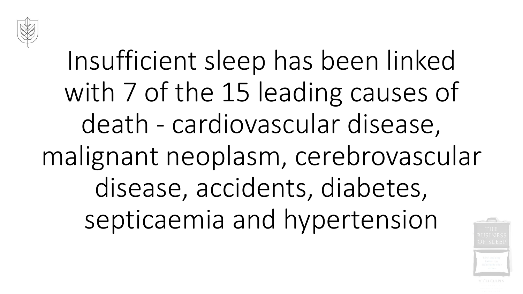

## Insufficient sleep has been linked with 7 of the 15 leading causes of death - cardiovascular disease, malignant neoplasm, cerebrovascular disease, accidents, diabetes, septicaemia and hypertension

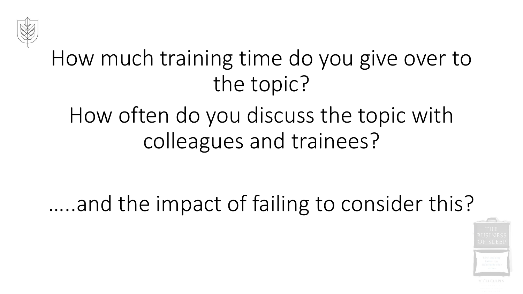

#### How much training time do you give over to the topic?

#### How often do you discuss the topic with colleagues and trainees?

#### …..and the impact of failing to consider this?

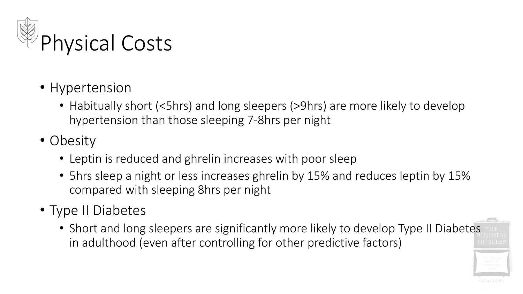

- Hypertension
	- Habitually short (<5hrs) and long sleepers (>9hrs) are more likely to develop hypertension than those sleeping 7-8hrs per night
- Obesity
	- Leptin is reduced and ghrelin increases with poor sleep
	- 5hrs sleep a night or less increases ghrelin by 15% and reduces leptin by 15% compared with sleeping 8hrs per night
- Type II Diabetes
	- Short and long sleepers are significantly more likely to develop Type II Diabetes in adulthood (even after controlling for other predictive factors)

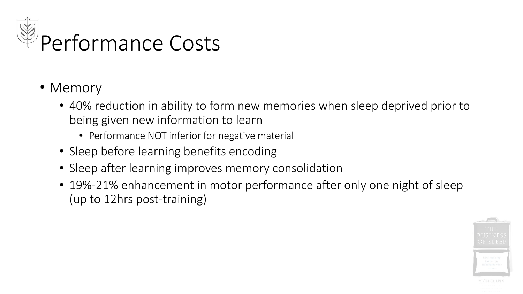

- Memory
	- 40% reduction in ability to form new memories when sleep deprived prior to being given new information to learn
		- Performance NOT inferior for negative material
	- Sleep before learning benefits encoding
	- Sleep after learning improves memory consolidation
	- 19%-21% enhancement in motor performance after only one night of sleep (up to 12hrs post-training)

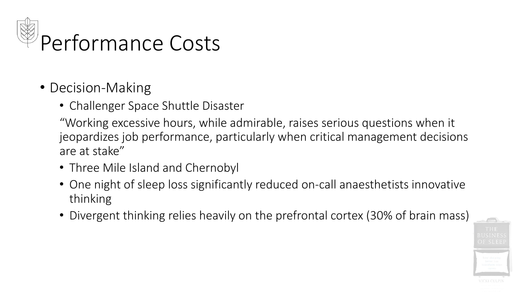

- Decision-Making
	- Challenger Space Shuttle Disaster

"Working excessive hours, while admirable, raises serious questions when it jeopardizes job performance, particularly when critical management decisions are at stake"

- Three Mile Island and Chernobyl
- One night of sleep loss significantly reduced on-call anaesthetists innovative thinking
- Divergent thinking relies heavily on the prefrontal cortex (30% of brain mass)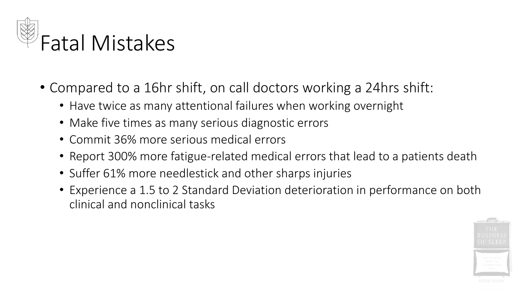

- Compared to a 16hr shift, on call doctors working a 24hrs shift:
	- Have twice as many attentional failures when working overnight
	- Make five times as many serious diagnostic errors
	- Commit 36% more serious medical errors
	- Report 300% more fatigue-related medical errors that lead to a patients death
	- Suffer 61% more needlestick and other sharps injuries
	- Experience a 1.5 to 2 Standard Deviation deterioration in performance on both clinical and nonclinical tasks

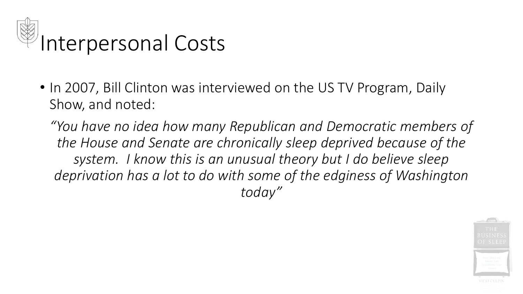

• In 2007, Bill Clinton was interviewed on the US TV Program, Daily Show, and noted:

*"You have no idea how many Republican and Democratic members of the House and Senate are chronically sleep deprived because of the system. I know this is an unusual theory but I do believe sleep deprivation has a lot to do with some of the edginess of Washington today"* 

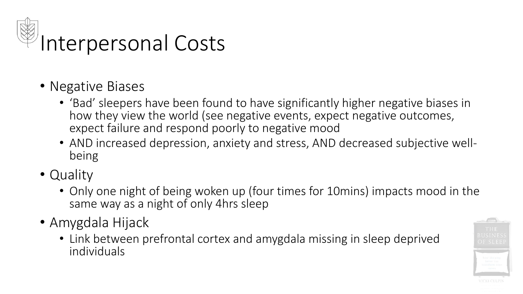

#### Interpersonal Costs

- Negative Biases
	- 'Bad' sleepers have been found to have significantly higher negative biases in how they view the world (see negative events, expect negative outcomes, expect failure and respond poorly to negative mood
	- AND increased depression, anxiety and stress, AND decreased subjective wellbeing
- Quality
	- Only one night of being woken up (four times for 10mins) impacts mood in the same way as a night of only 4hrs sleep
- Amygdala Hijack
	- Link between prefrontal cortex and amygdala missing in sleep deprived individuals

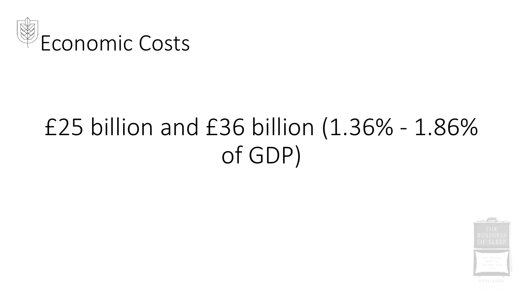

### £25 billion and £36 billion (1.36% - 1.86% of GDP)

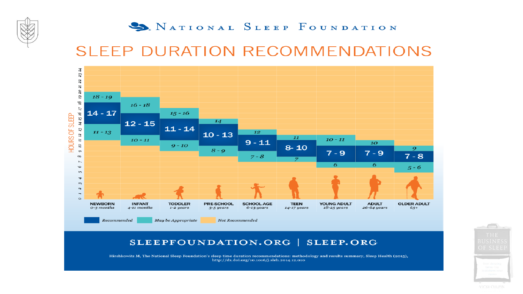

#### S. NATIONAL SLEEP FOUNDATION

#### **SLEEP DURATION RECOMMENDATIONS**



SLEEPFOUNDATION.ORG | SLEEP.ORG

Hirshkowitz M, The National Sleep Foundation's sleep time duration recommendations: methodology and results summary, Sleep Health (2015), http://dx.doi.org/10.1016/j.sleh.2014.12.010

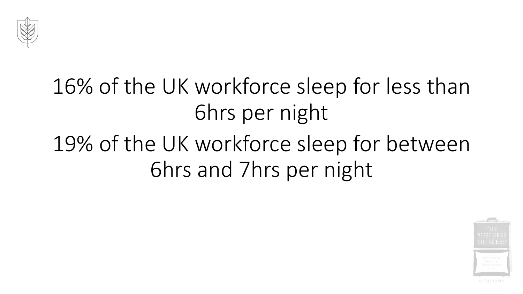

### 16% of the UK workforce sleep for less than 6hrs per night

#### 19% of the UK workforce sleep for between 6hrs and 7hrs per night

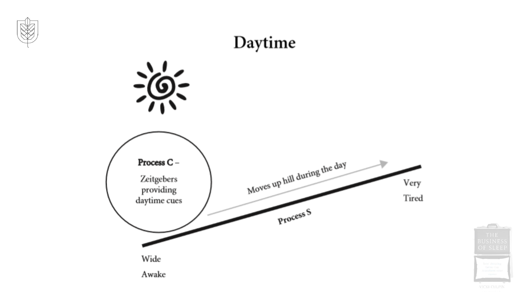



VICKI CULPIN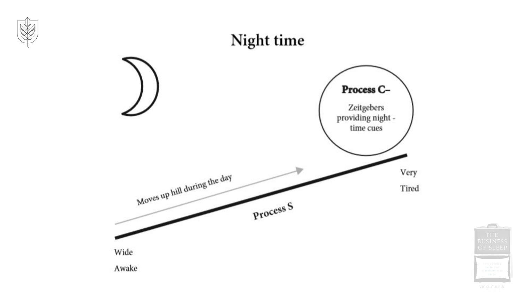

VICKI CULPIN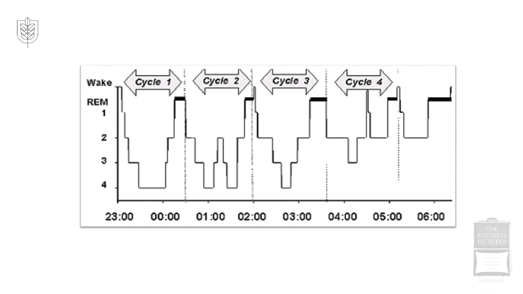



 $\overline{\bigcirc}$ VICKI CULPIN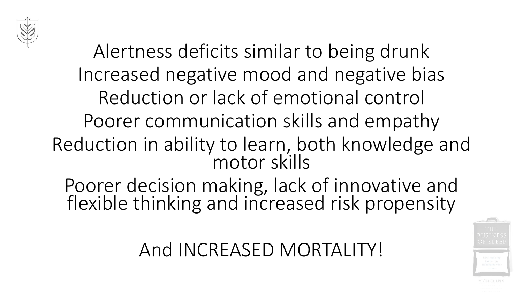

Alertness deficits similar to being drunk Increased negative mood and negative bias Reduction or lack of emotional control Poorer communication skills and empathy Reduction in ability to learn, both knowledge and motor skills

Poorer decision making, lack of innovative and flexible thinking and increased risk propensity

And INCREASED MORTALITY!